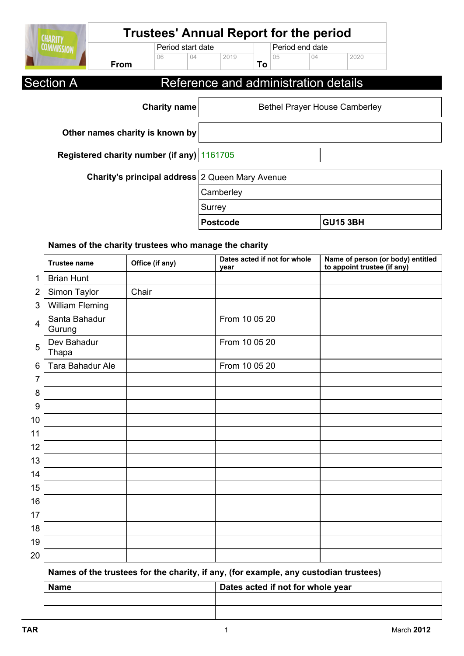| <b>CHARITY</b>    |                                                        | <b>Trustees' Annual Report for the period</b> |        |                 |    |     |                                      |                                      |  |
|-------------------|--------------------------------------------------------|-----------------------------------------------|--------|-----------------|----|-----|--------------------------------------|--------------------------------------|--|
| <b>COMMISSION</b> |                                                        | Period start date                             |        |                 |    |     | Period end date                      |                                      |  |
|                   | From                                                   | 06                                            | 04     | 2019            | To | 0.5 | 04                                   | 2020                                 |  |
| <b>Section A</b>  |                                                        |                                               |        |                 |    |     | Reference and administration details |                                      |  |
|                   |                                                        | <b>Charity name</b>                           |        |                 |    |     |                                      | <b>Bethel Prayer House Camberley</b> |  |
|                   | Other names charity is known by                        |                                               |        |                 |    |     |                                      |                                      |  |
|                   | Registered charity number (if any) 1161705             |                                               |        |                 |    |     |                                      |                                      |  |
|                   | <b>Charity's principal address</b> 2 Queen Mary Avenue |                                               |        |                 |    |     |                                      |                                      |  |
|                   |                                                        |                                               |        | Camberley       |    |     |                                      |                                      |  |
|                   |                                                        |                                               | Surrey |                 |    |     |                                      |                                      |  |
|                   |                                                        |                                               |        | <b>Postcode</b> |    |     |                                      | <b>GU15 3BH</b>                      |  |

### **Names of the charity trustees who manage the charity**

|                 | <b>Trustee name</b>     | Office (if any) | Dates acted if not for whole<br>year | Name of person (or body) entitled<br>to appoint trustee (if any) |
|-----------------|-------------------------|-----------------|--------------------------------------|------------------------------------------------------------------|
| 1               | <b>Brian Hunt</b>       |                 |                                      |                                                                  |
| $\overline{2}$  | Simon Taylor            | Chair           |                                      |                                                                  |
| 3               | <b>William Fleming</b>  |                 |                                      |                                                                  |
| $\overline{4}$  | Santa Bahadur<br>Gurung |                 | From 10 05 20                        |                                                                  |
| 5               | Dev Bahadur<br>Thapa    |                 | From 10 05 20                        |                                                                  |
| $6\phantom{1}6$ | Tara Bahadur Ale        |                 | From 10 05 20                        |                                                                  |
| 7               |                         |                 |                                      |                                                                  |
| 8               |                         |                 |                                      |                                                                  |
| 9               |                         |                 |                                      |                                                                  |
| 10              |                         |                 |                                      |                                                                  |
| 11              |                         |                 |                                      |                                                                  |
| 12              |                         |                 |                                      |                                                                  |
| 13              |                         |                 |                                      |                                                                  |
| 14              |                         |                 |                                      |                                                                  |
| 15              |                         |                 |                                      |                                                                  |
| 16              |                         |                 |                                      |                                                                  |
| 17              |                         |                 |                                      |                                                                  |
| 18              |                         |                 |                                      |                                                                  |
| 19              |                         |                 |                                      |                                                                  |
| 20              |                         |                 |                                      |                                                                  |

**Names of the trustees for the charity, if any, (for example, any custodian trustees)**

| <b>Name</b> | Dates acted if not for whole year |
|-------------|-----------------------------------|
|             |                                   |
|             |                                   |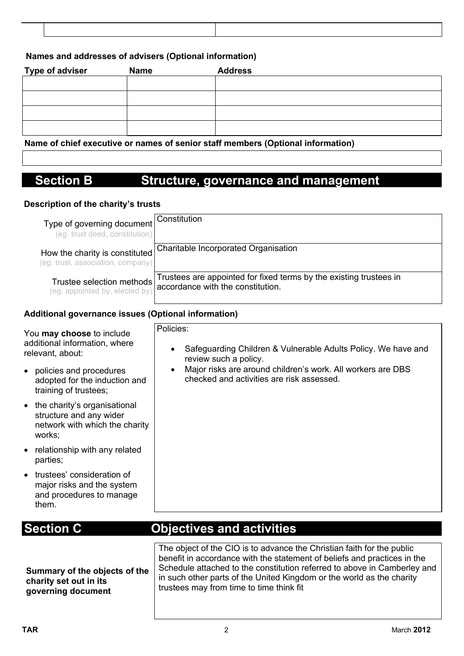#### **Names and addresses of advisers (Optional information)**

| <b>Type of adviser</b> | <b>Name</b> | <b>Address</b>                                                                |  |
|------------------------|-------------|-------------------------------------------------------------------------------|--|
|                        |             |                                                                               |  |
|                        |             |                                                                               |  |
|                        |             |                                                                               |  |
|                        |             |                                                                               |  |
|                        |             | Name of objet executive or names of conject of members (Ontianal information) |  |

**Name of chief executive or names of senior staff members (Optional information)**

## **Section B Structure, governance and management**

#### **Description of the charity's trusts**

| Type of governing document<br>(eg. trust deed, constitution)        | Constitution                                                                                            |
|---------------------------------------------------------------------|---------------------------------------------------------------------------------------------------------|
| How the charity is constituted<br>(eg. trust, association, company) | <b>Charitable Incorporated Organisation</b>                                                             |
| Trustee selection methods<br>(eg. appointed by, elected by)         | Trustees are appointed for fixed terms by the existing trustees in<br>accordance with the constitution. |

#### **Additional governance issues (Optional information)**

| You may choose to include<br>additional information, where<br>relevant, about:                      | Policies:<br>Safeguarding Children & Vulnerable Adults Policy. We have and<br>review such a policy.<br>Major risks are around children's work. All workers are DBS |
|-----------------------------------------------------------------------------------------------------|--------------------------------------------------------------------------------------------------------------------------------------------------------------------|
| policies and procedures<br>adopted for the induction and<br>training of trustees;                   | checked and activities are risk assessed.                                                                                                                          |
| the charity's organisational<br>structure and any wider<br>network with which the charity<br>works; |                                                                                                                                                                    |
| relationship with any related<br>parties;                                                           |                                                                                                                                                                    |
| trustees' consideration of<br>major risks and the system<br>and procedures to manage<br>them.       |                                                                                                                                                                    |

# **Section C Objectives and activities**

**Summary of the objects of the charity set out in its governing document**

The object of the CIO is to advance the Christian faith for the public benefit in accordance with the statement of beliefs and practices in the Schedule attached to the constitution referred to above in Camberley and in such other parts of the United Kingdom or the world as the charity trustees may from time to time think fit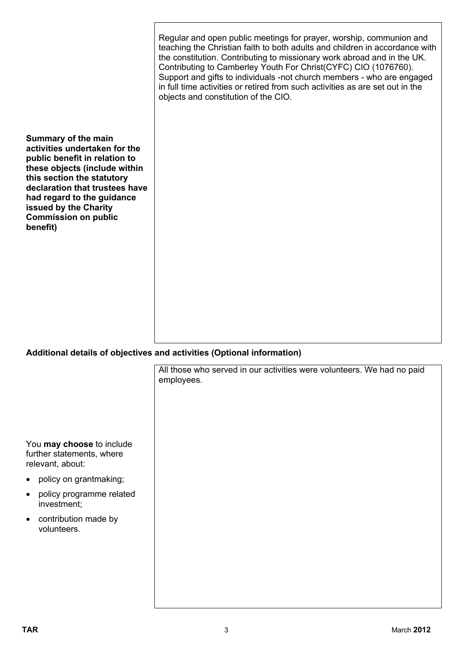|                                                                                                                                                                                                                                                                                                 | Regular and open public meetings for prayer, worship, communion and<br>teaching the Christian faith to both adults and children in accordance with<br>the constitution. Contributing to missionary work abroad and in the UK.<br>Contributing to Camberley Youth For Christ(CYFC) CIO (1076760).<br>Support and gifts to individuals -not church members - who are engaged<br>in full time activities or retired from such activities as are set out in the<br>objects and constitution of the CIO. |
|-------------------------------------------------------------------------------------------------------------------------------------------------------------------------------------------------------------------------------------------------------------------------------------------------|-----------------------------------------------------------------------------------------------------------------------------------------------------------------------------------------------------------------------------------------------------------------------------------------------------------------------------------------------------------------------------------------------------------------------------------------------------------------------------------------------------|
| <b>Summary of the main</b><br>activities undertaken for the<br>public benefit in relation to<br>these objects (include within<br>this section the statutory<br>declaration that trustees have<br>had regard to the guidance<br>issued by the Charity<br><b>Commission on public</b><br>benefit) |                                                                                                                                                                                                                                                                                                                                                                                                                                                                                                     |

### **Additional details of objectives and activities (Optional information)**

|                                                                            | All those who served in our activities were volunteers. We had no paid<br>employees. |
|----------------------------------------------------------------------------|--------------------------------------------------------------------------------------|
|                                                                            |                                                                                      |
| You may choose to include<br>further statements, where<br>relevant, about: |                                                                                      |
| • policy on grantmaking;                                                   |                                                                                      |
| policy programme related<br>$\bullet$<br>investment;                       |                                                                                      |
| contribution made by<br>$\bullet$<br>volunteers.                           |                                                                                      |
|                                                                            |                                                                                      |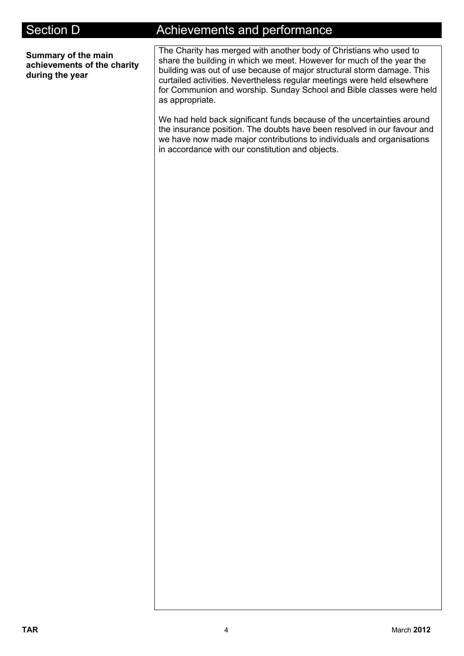**Summary of the main achievements of the charity during the year**

## Section D **Achievements and performance**

The Charity has merged with another body of Christians who used to share the building in which we meet. However for much of the year the building was out of use because of major structural storm damage. This curtailed activities. Nevertheless regular meetings were held elsewhere for Communion and worship. Sunday School and Bible classes were held as appropriate.

We had held back significant funds because of the uncertainties around the insurance position. The doubts have been resolved in our favour and we have now made major contributions to individuals and organisations in accordance with our constitution and objects.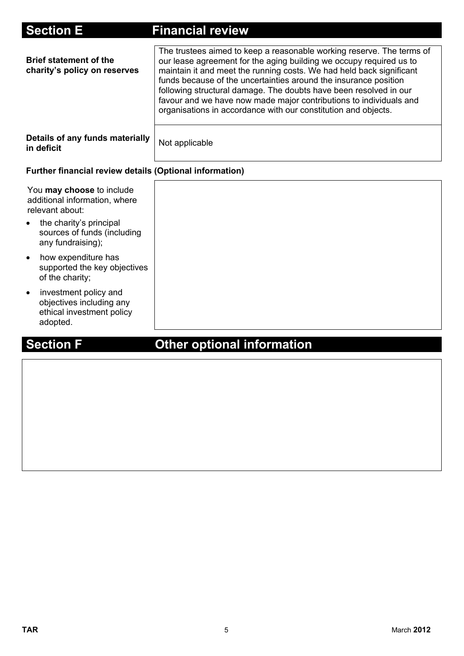| <b>Section E</b>                                                                                                                                             | <b>Financial review</b>                                                                                                                                                                                                                                                                                                                                                                                                                                                                               |
|--------------------------------------------------------------------------------------------------------------------------------------------------------------|-------------------------------------------------------------------------------------------------------------------------------------------------------------------------------------------------------------------------------------------------------------------------------------------------------------------------------------------------------------------------------------------------------------------------------------------------------------------------------------------------------|
| <b>Brief statement of the</b><br>charity's policy on reserves                                                                                                | The trustees aimed to keep a reasonable working reserve. The terms of<br>our lease agreement for the aging building we occupy required us to<br>maintain it and meet the running costs. We had held back significant<br>funds because of the uncertainties around the insurance position<br>following structural damage. The doubts have been resolved in our<br>favour and we have now made major contributions to individuals and<br>organisations in accordance with our constitution and objects. |
| Details of any funds materially<br>in deficit                                                                                                                | Not applicable                                                                                                                                                                                                                                                                                                                                                                                                                                                                                        |
| <b>Further financial review details (Optional information)</b>                                                                                               |                                                                                                                                                                                                                                                                                                                                                                                                                                                                                                       |
| You may choose to include<br>additional information, where<br>relevant about:<br>the charity's principal<br>sources of funds (including<br>any fundraising); |                                                                                                                                                                                                                                                                                                                                                                                                                                                                                                       |
| how expenditure has<br>supported the key objectives<br>of the charity;                                                                                       |                                                                                                                                                                                                                                                                                                                                                                                                                                                                                                       |
| investment policy and<br>objectives including any<br>ethical investment policy<br>adopted.                                                                   |                                                                                                                                                                                                                                                                                                                                                                                                                                                                                                       |

# **Section F Other optional information**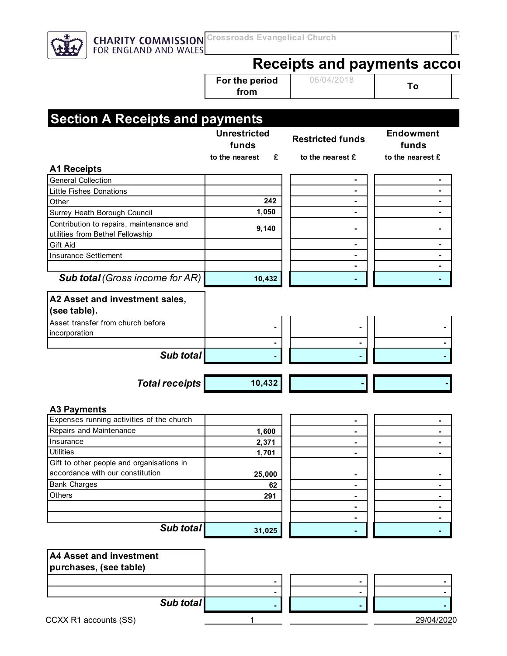

# **Receipts and payments accounts**

**To For the period from**

06/04/2018 **To** 

|                                                                              | <b>Unrestricted</b><br>funds | <b>Restricted funds</b> | <b>Endowment</b><br>funds |
|------------------------------------------------------------------------------|------------------------------|-------------------------|---------------------------|
|                                                                              | to the nearest<br>£          | to the nearest £        | to the nearest £          |
| <b>A1 Receipts</b>                                                           |                              |                         |                           |
| <b>General Collection</b>                                                    |                              | ۰                       |                           |
| <b>Little Fishes Donations</b>                                               |                              | ۰                       | ٠                         |
| Other                                                                        | 242                          | ٠                       |                           |
| Surrey Heath Borough Council                                                 | 1,050                        |                         |                           |
| Contribution to repairs, maintenance and<br>utilities from Bethel Fellowship | 9,140                        |                         |                           |
| Gift Aid                                                                     |                              | ٠                       |                           |
| <b>Insurance Settlement</b>                                                  |                              | ۰                       | ۰                         |
|                                                                              |                              | ۰                       |                           |
| <b>Sub total (Gross income for AR)</b>                                       | 10,432                       |                         |                           |
| A2 Asset and investment sales,<br>(see table).                               |                              |                         |                           |
| Asset transfer from church before                                            |                              |                         |                           |
| incorporation                                                                |                              |                         |                           |
|                                                                              |                              |                         |                           |
| Sub total                                                                    |                              |                         |                           |
| <b>Total receipts</b>                                                        | 10,432                       |                         |                           |
| <b>A3 Payments</b>                                                           |                              |                         |                           |
| Expenses running activities of the church                                    |                              |                         |                           |
| Repairs and Maintenance                                                      | 1,600                        | ۰                       |                           |
| Insurance                                                                    | 2,371                        | ۰                       |                           |
| <b>Utilities</b>                                                             | 1,701                        |                         |                           |
| Gift to other people and organisations in                                    |                              |                         |                           |
| accordance with our constitution                                             | 25,000                       |                         |                           |
| <b>Bank Charges</b>                                                          | 62                           | ٠                       |                           |
| Others                                                                       | 291                          | ۰                       | ٠                         |
|                                                                              |                              | ۰                       |                           |
| Sub total                                                                    |                              |                         | ۰                         |
|                                                                              | 31,025                       | ۰                       | ۰                         |

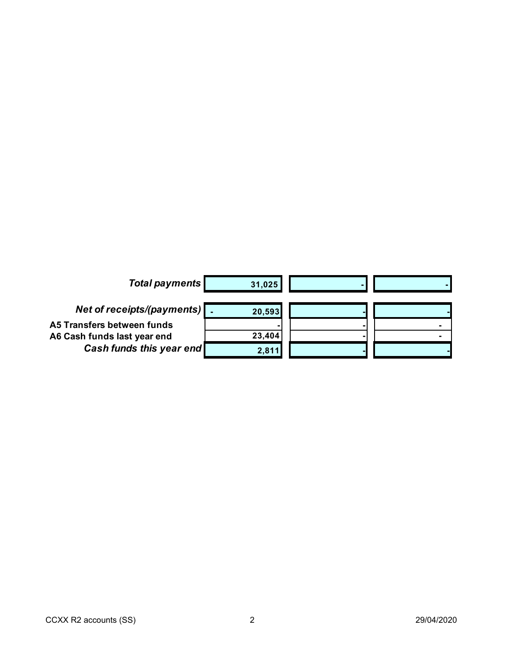| <b>Total payments</b>          | 31,025 |  |
|--------------------------------|--------|--|
| Net of receipts/(payments)   . | 20,593 |  |
| A5 Transfers between funds     |        |  |
| A6 Cash funds last year end    | 23,404 |  |
| Cash funds this year end       | 2,811  |  |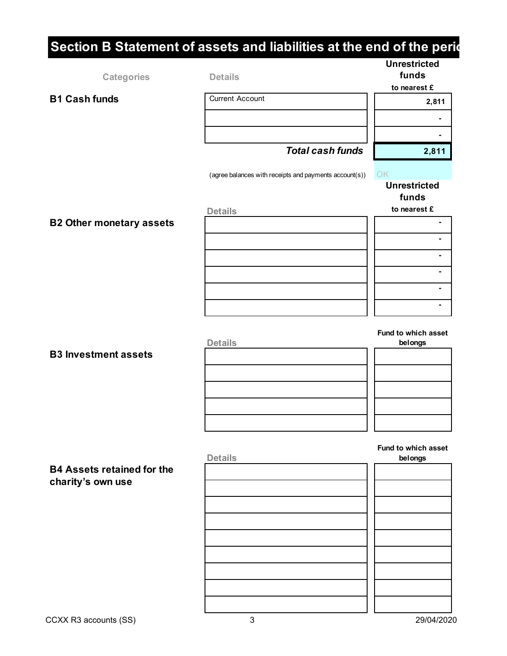# **Section B Statement of assets and liabilities at the end of the perident Categories Unrestricted funds to nearest £ 2,811 - - 2,811**  OK **Unrestricted funds to nearest £ - - - - - - Fund to which asset belongs Fund to which asset Details belongs B1 Cash funds** Current Account **Details B2 Other monetary assets Details**   *Total cash funds*  (agree balances with receipts and payments account(s)) **B4 Assets retained for the charity's own use B3 Investment assets Details**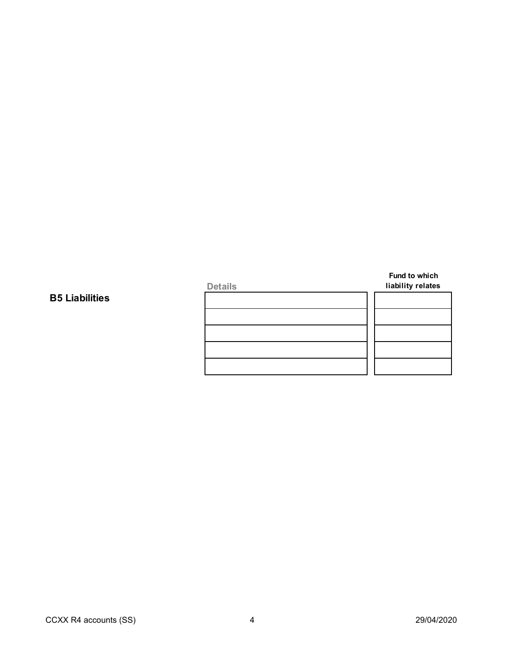| liability relates |
|-------------------|
|                   |
|                   |
|                   |
|                   |
|                   |
|                   |

#### **B5 Liabilities**

**Fund to which**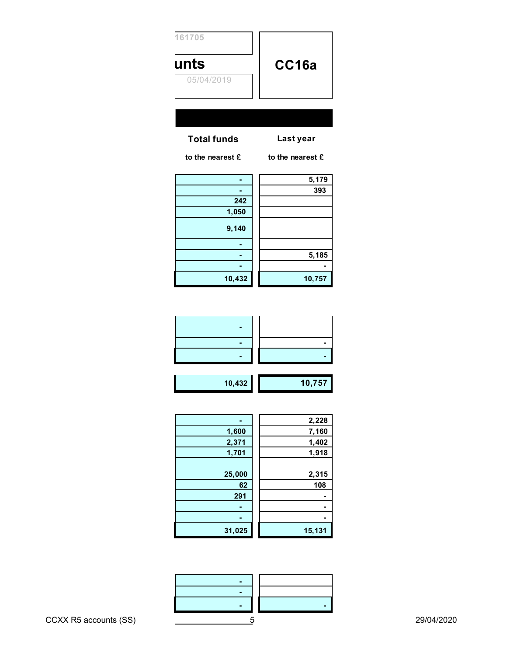| 161705             |                  |
|--------------------|------------------|
| unts               | CC16a            |
| 05/04/2019         |                  |
|                    |                  |
|                    |                  |
| <b>Total funds</b> | Last year        |
| to the nearest £   | to the nearest £ |
| ٠                  | 5,179            |
| ۰                  | 393              |
| 242                |                  |
| 1,050              |                  |
| 9,140              |                  |
|                    |                  |
| ۰                  | 5,185            |
| ٠                  |                  |
| 10,432             | 10,757           |

|--|

 **- 2,228 1,600 7,160 2,371 1,402 1,918** 

**2,315 62 108** 

 **31,025 15,131** 

|        | 2,228  |
|--------|--------|
| 1,600  | 7,160  |
| 2,371  | 1,402  |
| 1,701  | 1,918  |
|        |        |
| 25,000 | 2,315  |
| 62     | 108    |
| 291    |        |
|        |        |
|        |        |
| 31,025 | 15,131 |
|        |        |

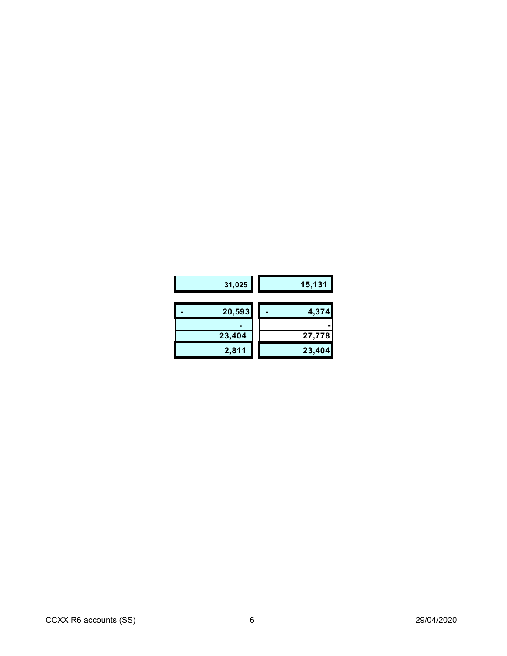| 31,025 | 15,131 |
|--------|--------|
| 20,593 | 4,374  |
|        |        |
| 23,404 | 27,778 |
| 2,811  | 23,404 |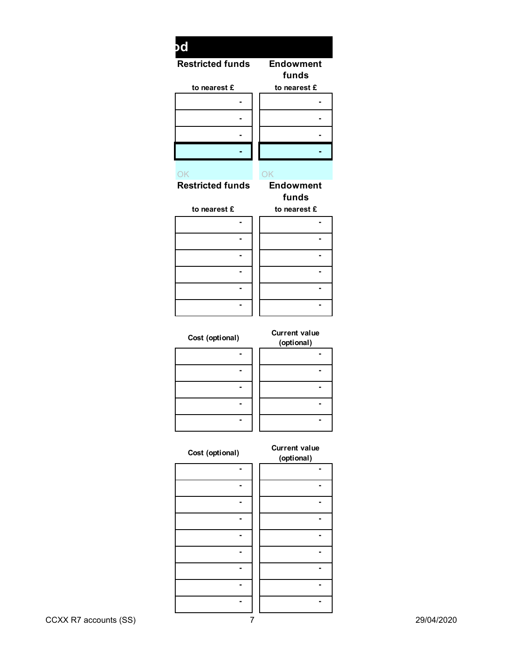|                                      | $\mathsf{bd}$                                 |
|--------------------------------------|-----------------------------------------------|
| <b>Endowment</b><br>funds            | <b>Restricted funds</b>                       |
| to nearest $\boldsymbol{\mathsf{E}}$ | to nearest $\boldsymbol{\mathsf{E}}$          |
| $\sim$                               | $\blacksquare$                                |
|                                      |                                               |
| ۰                                    | $\blacksquare$                                |
|                                      | $\blacksquare$                                |
| ٠                                    | $\blacksquare$                                |
| OK                                   | OK                                            |
| <b>Endowment</b>                     | <b>Restricted funds</b>                       |
| funds                                |                                               |
| to nearest £                         | to nearest $\boldsymbol{\mathop{\mathsf{E}}}$ |
| $\blacksquare$                       | $\blacksquare$                                |
| $\blacksquare$                       | $\blacksquare$                                |
|                                      | $\blacksquare$                                |
| $\blacksquare$                       | $\blacksquare$                                |
|                                      | $\blacksquare$                                |
|                                      | $\blacksquare$                                |
| <b>Current value</b><br>(optional)   | Cost (optional)                               |
| $\blacksquare$                       | $\blacksquare$                                |
| $\blacksquare$                       | $\blacksquare$                                |
| $\blacksquare$                       | $\blacksquare$                                |
| $\blacksquare$                       | $\blacksquare$                                |
| $\blacksquare$                       | $\blacksquare$                                |
|                                      |                                               |
| <b>Current value</b><br>(optional)   | Cost (optional)                               |
| ۰                                    | ۰                                             |
| $\blacksquare$                       | $\blacksquare$                                |
| $\blacksquare$                       | $\blacksquare$                                |
| $\blacksquare$                       | $\blacksquare$                                |
| $\blacksquare$                       | $\blacksquare$                                |
|                                      |                                               |
| $\blacksquare$                       | $\blacksquare$                                |

| Cost (optional) | <b>Current value</b><br>(optional) |
|-----------------|------------------------------------|
|                 |                                    |
|                 |                                    |
|                 |                                    |
|                 |                                    |
|                 |                                    |
|                 |                                    |
|                 |                                    |

 **- -** 

 **- -**